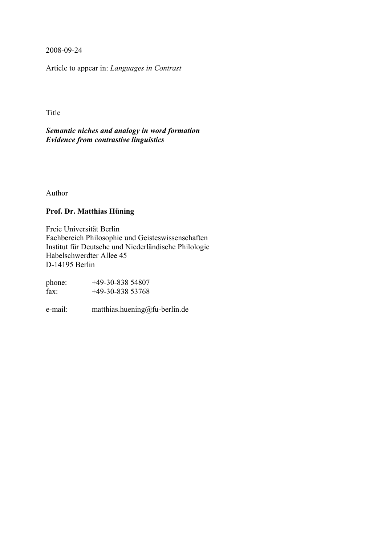2008-09-24

Article to appear in: *Languages in Contrast*

Title

*Semantic niches and analogy in word formation Evidence from contrastive linguistics*

Author

# **Prof. Dr. Matthias Hüning**

Freie Universität Berlin Fachbereich Philosophie und Geisteswissenschaften Institut für Deutsche und Niederländische Philologie Habelschwerdter Allee 45 D-14195 Berlin

| phone: | $+49-30-83854807$ |
|--------|-------------------|
| fax:   | $+49-30-83853768$ |

e-mail: matthias.huening@fu-berlin.de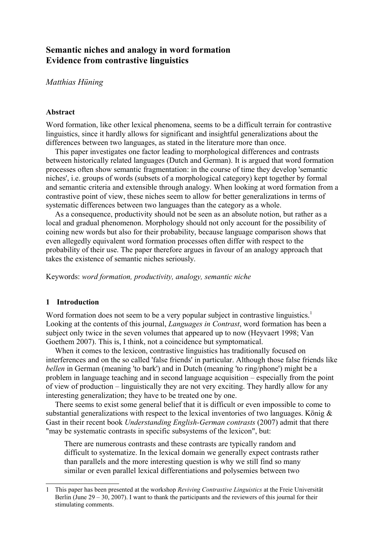# **Semantic niches and analogy in word formation Evidence from contrastive linguistics**

## *Matthias Hüning*

### **Abstract**

Word formation, like other lexical phenomena, seems to be a difficult terrain for contrastive linguistics, since it hardly allows for significant and insightful generalizations about the differences between two languages, as stated in the literature more than once.

This paper investigates one factor leading to morphological differences and contrasts between historically related languages (Dutch and German). It is argued that word formation processes often show semantic fragmentation: in the course of time they develop 'semantic niches', i.e. groups of words (subsets of a morphological category) kept together by formal and semantic criteria and extensible through analogy. When looking at word formation from a contrastive point of view, these niches seem to allow for better generalizations in terms of systematic differences between two languages than the category as a whole.

As a consequence, productivity should not be seen as an absolute notion, but rather as a local and gradual phenomenon. Morphology should not only account for the possibility of coining new words but also for their probability, because language comparison shows that even allegedly equivalent word formation processes often differ with respect to the probability of their use. The paper therefore argues in favour of an analogy approach that takes the existence of semantic niches seriously.

Keywords: *word formation, productivity, analogy, semantic niche*

### **1 Introduction**

Word formation does not seem to be a very popular subject in contrastive linguistics.<sup>[1](#page-1-0)</sup> Looking at the contents of this journal, *Languages in Contrast*, word formation has been a subject only twice in the seven volumes that appeared up to now (Heyvaert 1998; Van Goethem 2007). This is, I think, not a coincidence but symptomatical.

When it comes to the lexicon, contrastive linguistics has traditionally focused on interferences and on the so called 'false friends' in particular. Although those false friends like *bellen* in German (meaning 'to bark') and in Dutch (meaning 'to ring/phone') might be a problem in language teaching and in second language acquisition – especially from the point of view of production – linguistically they are not very exciting. They hardly allow for any interesting generalization; they have to be treated one by one.

There seems to exist some general belief that it is difficult or even impossible to come to substantial generalizations with respect to the lexical inventories of two languages. König  $\&$ Gast in their recent book *Understanding English-German contrasts* (2007) admit that there "may be systematic contrasts in specific subsystems of the lexicon", but:

There are numerous contrasts and these contrasts are typically random and difficult to systematize. In the lexical domain we generally expect contrasts rather than parallels and the more interesting question is why we still find so many similar or even parallel lexical differentiations and polysemies between two

<span id="page-1-0"></span><sup>1</sup> This paper has been presented at the workshop *Reviving Contrastive Linguistics* at the Freie Universität Berlin (June  $29 - 30$ , 2007). I want to thank the participants and the reviewers of this journal for their stimulating comments.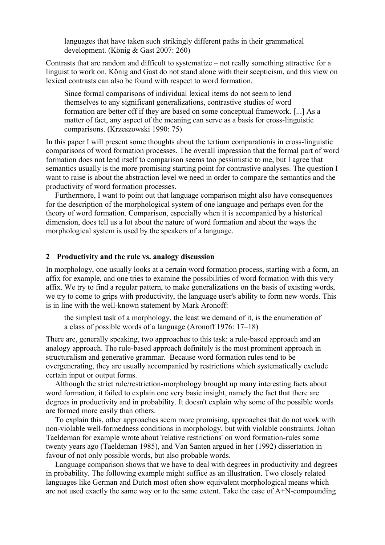languages that have taken such strikingly different paths in their grammatical development. (König & Gast 2007: 260)

Contrasts that are random and difficult to systematize – not really something attractive for a linguist to work on. König and Gast do not stand alone with their scepticism, and this view on lexical contrasts can also be found with respect to word formation.

Since formal comparisons of individual lexical items do not seem to lend themselves to any significant generalizations, contrastive studies of word formation are better off if they are based on some conceptual framework. [...] As a matter of fact, any aspect of the meaning can serve as a basis for cross-linguistic comparisons. (Krzeszowski 1990: 75)

In this paper I will present some thoughts about the tertium comparationis in cross-linguistic comparisons of word formation processes. The overall impression that the formal part of word formation does not lend itself to comparison seems too pessimistic to me, but I agree that semantics usually is the more promising starting point for contrastive analyses. The question I want to raise is about the abstraction level we need in order to compare the semantics and the productivity of word formation processes.

Furthermore, I want to point out that language comparison might also have consequences for the description of the morphological system of one language and perhaps even for the theory of word formation. Comparison, especially when it is accompanied by a historical dimension, does tell us a lot about the nature of word formation and about the ways the morphological system is used by the speakers of a language.

### **2 Productivity and the rule vs. analogy discussion**

In morphology, one usually looks at a certain word formation process, starting with a form, an affix for example, and one tries to examine the possibilities of word formation with this very affix. We try to find a regular pattern, to make generalizations on the basis of existing words, we try to come to grips with productivity, the language user's ability to form new words. This is in line with the well-known statement by Mark Aronoff:

the simplest task of a morphology, the least we demand of it, is the enumeration of a class of possible words of a language (Aronoff 1976: 17–18)

There are, generally speaking, two approaches to this task: a rule-based approach and an analogy approach. The rule-based approach definitely is the most prominent approach in structuralism and generative grammar. Because word formation rules tend to be overgenerating, they are usually accompanied by restrictions which systematically exclude certain input or output forms.

Although the strict rule/restriction-morphology brought up many interesting facts about word formation, it failed to explain one very basic insight, namely the fact that there are degrees in productivity and in probability. It doesn't explain why some of the possible words are formed more easily than others.

To explain this, other approaches seem more promising, approaches that do not work with non-violable well-formedness conditions in morphology, but with violable constraints. Johan Taeldeman for example wrote about 'relative restrictions' on word formation-rules some twenty years ago (Taeldeman 1985), and Van Santen argued in her (1992) dissertation in favour of not only possible words, but also probable words.

Language comparison shows that we have to deal with degrees in productivity and degrees in probability. The following example might suffice as an illustration. Two closely related languages like German and Dutch most often show equivalent morphological means which are not used exactly the same way or to the same extent. Take the case of A+N-compounding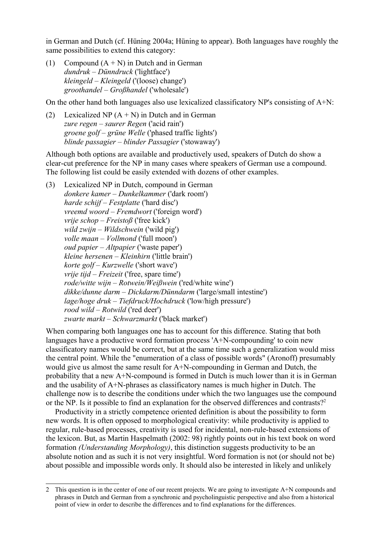in German and Dutch (cf. Hüning 2004a; Hüning to appear). Both languages have roughly the same possibilities to extend this category:

(1) Compound  $(A + N)$  in Dutch and in German *dundruk – Dünndruck* ('lightface') *kleingeld – Kleingeld* ('(loose) change') *groothandel – Großhandel* ('wholesale')

On the other hand both languages also use lexicalized classificatory NP's consisting of A+N:

(2) Lexicalized NP  $(A + N)$  in Dutch and in German *zure regen – saurer Regen* ('acid rain') *groene golf – grüne Welle* ('phased traffic lights') *blinde passagier – blinder Passagier* ('stowaway')

Although both options are available and productively used, speakers of Dutch do show a clear-cut preference for the NP in many cases where speakers of German use a compound. The following list could be easily extended with dozens of other examples.

(3) Lexicalized NP in Dutch, compound in German *donkere kamer – Dunkelkammer* ('dark room') *harde schijf – Festplatte* ('hard disc') *vreemd woord – Fremdwort* ('foreign word') *vrije schop – Freistoß* ('free kick') *wild zwijn – Wildschwein* ('wild pig') *volle maan – Vollmond* ('full moon') *oud papier – Altpapier* ('waste paper') *kleine hersenen – Kleinhirn* ('little brain') *korte golf – Kurzwelle* ('short wave') *vrije tijd – Freizeit* ('free, spare time') *rode/witte wijn – Rotwein/Weißwein* ('red/white wine') *dikke/dunne darm – Dickdarm/Dünndarm* ('large/small intestine') *lage/hoge druk – Tiefdruck/Hochdruck* ('low/high pressure') *rood wild – Rotwild* ('red deer') *zwarte markt – Schwarzmarkt* ('black market')

When comparing both languages one has to account for this difference. Stating that both languages have a productive word formation process 'A+N-compounding' to coin new classificatory names would be correct, but at the same time such a generalization would miss the central point. While the "enumeration of a class of possible words" (Aronoff) presumably would give us almost the same result for A+N-compounding in German and Dutch, the probability that a new  $A+N$ -compound is formed in Dutch is much lower than it is in German and the usability of A+N-phrases as classificatory names is much higher in Dutch. The challenge now is to describe the conditions under which the two languages use the compound or the NP. Is it possible to find an explanation for the observed differences and contrasts?<sup>[2](#page-3-0)</sup>

Productivity in a strictly competence oriented definition is about the possibility to form new words. It is often opposed to morphological creativity: while productivity is applied to regular, rule-based processes, creativity is used for incidental, non-rule-based extensions of the lexicon. But, as Martin Haspelmath (2002: 98) rightly points out in his text book on word formation *(Understanding Morphology)*, this distinction suggests productivity to be an absolute notion and as such it is not very insightful. Word formation is not (or should not be) about possible and impossible words only. It should also be interested in likely and unlikely

<span id="page-3-0"></span><sup>2</sup> This question is in the center of one of our recent projects. We are going to investigate A+N compounds and phrases in Dutch and German from a synchronic and psycholinguistic perspective and also from a historical point of view in order to describe the differences and to find explanations for the differences.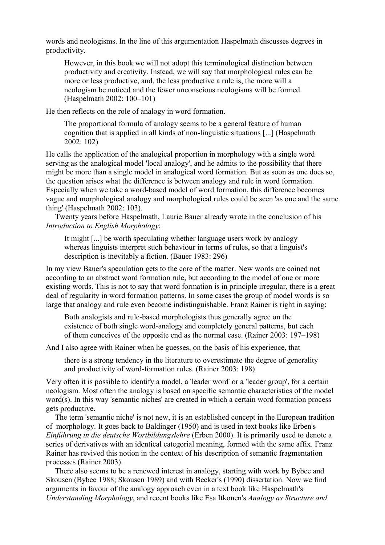words and neologisms. In the line of this argumentation Haspelmath discusses degrees in productivity.

However, in this book we will not adopt this terminological distinction between productivity and creativity. Instead, we will say that morphological rules can be more or less productive, and, the less productive a rule is, the more will a neologism be noticed and the fewer unconscious neologisms will be formed. (Haspelmath 2002: 100–101)

He then reflects on the role of analogy in word formation.

The proportional formula of analogy seems to be a general feature of human cognition that is applied in all kinds of non-linguistic situations [...] (Haspelmath 2002: 102)

He calls the application of the analogical proportion in morphology with a single word serving as the analogical model 'local analogy', and he admits to the possibility that there might be more than a single model in analogical word formation. But as soon as one does so, the question arises what the difference is between analogy and rule in word formation. Especially when we take a word-based model of word formation, this difference becomes vague and morphological analogy and morphological rules could be seen 'as one and the same thing' (Haspelmath 2002: 103).

Twenty years before Haspelmath, Laurie Bauer already wrote in the conclusion of his *Introduction to English Morphology*:

It might [...] be worth speculating whether language users work by analogy whereas linguists interpret such behaviour in terms of rules, so that a linguist's description is inevitably a fiction. (Bauer 1983: 296)

In my view Bauer's speculation gets to the core of the matter. New words are coined not according to an abstract word formation rule, but according to the model of one or more existing words. This is not to say that word formation is in principle irregular, there is a great deal of regularity in word formation patterns. In some cases the group of model words is so large that analogy and rule even become indistinguishable. Franz Rainer is right in saying:

Both analogists and rule-based morphologists thus generally agree on the existence of both single word-analogy and completely general patterns, but each of them conceives of the opposite end as the normal case. (Rainer 2003: 197–198)

And I also agree with Rainer when he guesses, on the basis of his experience, that

there is a strong tendency in the literature to overestimate the degree of generality and productivity of word-formation rules. (Rainer 2003: 198)

Very often it is possible to identify a model, a 'leader word' or a 'leader group', for a certain neologism. Most often the analogy is based on specific semantic characteristics of the model word(s). In this way 'semantic niches' are created in which a certain word formation process gets productive.

The term 'semantic niche' is not new, it is an established concept in the European tradition of morphology. It goes back to Baldinger (1950) and is used in text books like Erben's *Einführung in die deutsche Wortbildungslehre* (Erben 2000). It is primarily used to denote a series of derivatives with an identical categorial meaning, formed with the same affix. Franz Rainer has revived this notion in the context of his description of semantic fragmentation processes (Rainer 2003).

There also seems to be a renewed interest in analogy, starting with work by Bybee and Skousen (Bybee 1988; Skousen 1989) and with Becker's (1990) dissertation. Now we find arguments in favour of the analogy approach even in a text book like Haspelmath's *Understanding Morphology*, and recent books like Esa Itkonen's *Analogy as Structure and*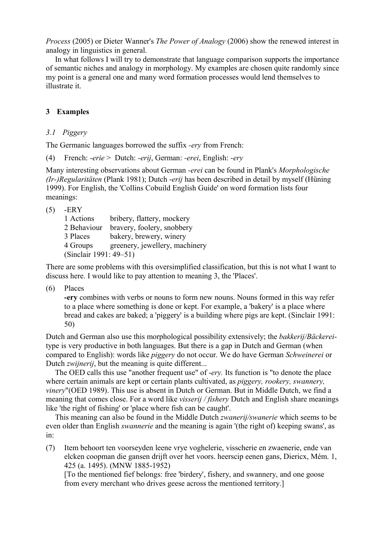*Process* (2005) or Dieter Wanner's *The Power of Analogy* (2006) show the renewed interest in analogy in linguistics in general.

In what follows I will try to demonstrate that language comparison supports the importance of semantic niches and analogy in morphology. My examples are chosen quite randomly since my point is a general one and many word formation processes would lend themselves to illustrate it.

## **3 Examples**

## *3.1 Piggery*

The Germanic languages borrowed the suffix *-ery* from French:

(4) French: *-erie* > Dutch: *-erij*, German: *-erei*, English: *-ery*

Many interesting observations about German *-erei* can be found in Plank's *Morphologische (Ir-)Regularitäten* (Plank 1981); Dutch -*erij* has been described in detail by myself (Hüning 1999). For English, the 'Collins Cobuild English Guide' on word formation lists four meanings:

|--|--|

| 1 Actions              | bribery, flattery, mockery     |  |
|------------------------|--------------------------------|--|
| 2 Behaviour            | bravery, foolery, snobbery     |  |
| 3 Places               | bakery, brewery, winery        |  |
| 4 Groups               | greenery, jewellery, machinery |  |
| (Sinclair 1991: 49–51) |                                |  |

There are some problems with this oversimplified classification, but this is not what I want to discuss here. I would like to pay attention to meaning 3, the 'Places'.

(6) Places

**-ery** combines with verbs or nouns to form new nouns. Nouns formed in this way refer to a place where something is done or kept. For example, a 'bakery' is a place where bread and cakes are baked; a 'piggery' is a building where pigs are kept. (Sinclair 1991: 50)

Dutch and German also use this morphological possibility extensively; the *bakkerij/Bäckerei*type is very productive in both languages. But there is a gap in Dutch and German (when compared to English): words like *piggery* do not occur. We do have German *Schweinerei* or Dutch *zwijnerij*, but the meaning is quite different...

The OED calls this use "another frequent use" of -*ery.* Its function is "to denote the place where certain animals are kept or certain plants cultivated, as *piggery, rookery, swannery, vinery*"(OED 1989). This use is absent in Dutch or German. But in Middle Dutch, we find a meaning that comes close. For a word like *visserij / fishery* Dutch and English share meanings like 'the right of fishing' or 'place where fish can be caught'.

This meaning can also be found in the Middle Dutch *zwanerij/swanerie* which seems to be even older than English *swannerie* and the meaning is again '(the right of) keeping swans', as in:

(7) Item behoort ten voorseyden leene vrye voghelerie, visscherie en zwaenerie, ende van elcken coopman die gansen drijft over het voors. heerscip eenen gans, Diericx, Mém. 1, 425 (a. 1495). (MNW 1885-1952)

[To the mentioned fief belongs: free 'birdery', fishery, and swannery, and one goose from every merchant who drives geese across the mentioned territory.]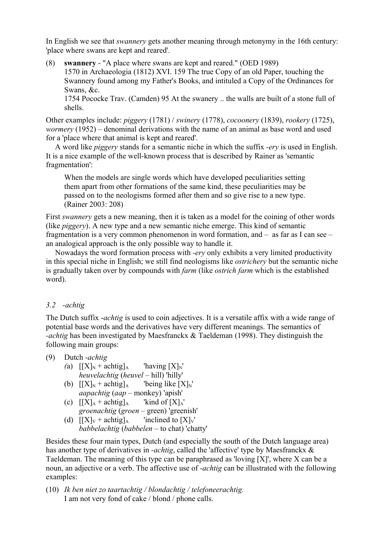In English we see that *swannery* gets another meaning through metonymy in the 16th century: 'place where swans are kept and reared'.

(8) **swannery** - "A place where swans are kept and reared." (OED 1989) 1570 in Archaeologia (1812) XVI. 159 The true Copy of an old Paper, touching the Swannery found among my Father's Books, and intituled a Copy of the Ordinances for Swans, &c. 1754 Pococke Trav. (Camden) 95 At the swanery .. the walls are built of a stone full of

shells.

Other examples include: *piggery* (1781) / *swinery* (1778), *cocoonery* (1839), *rookery* (1725), *wormery* (1952) – denominal derivations with the name of an animal as base word and used for a 'place where that animal is kept and reared'.

A word like *piggery* stands for a semantic niche in which the suffix *-ery* is used in English. It is a nice example of the well-known process that is described by Rainer as 'semantic fragmentation':

When the models are single words which have developed peculiarities setting them apart from other formations of the same kind, these peculiarities may be passed on to the neologisms formed after them and so give rise to a new type. (Rainer 2003: 208)

First *swannery* gets a new meaning, then it is taken as a model for the coining of other words (like *piggery*). A new type and a new semantic niche emerge. This kind of semantic fragmentation is a very common phenomenon in word formation, and – as far as I can see – an analogical approach is the only possible way to handle it.

Nowadays the word formation process with *-ery* only exhibits a very limited productivity in this special niche in English; we still find neologisms like *ostrichery* but the semantic niche is gradually taken over by compounds with *farm* (like *ostrich farm* which is the established word).

### *3.2 -achtig*

The Dutch suffix -*achtig* is used to coin adjectives. It is a versatile affix with a wide range of potential base words and the derivatives have very different meanings. The semantics of *-achtig* has been investigated by Maesfranckx & Taeldeman (1998). They distinguish the following main groups:

<span id="page-6-0"></span>(9) Dutch *-achtig*

- *(a)*  $[|X|_N + \text{achtig}]_A$  'having  $[X]_N$ ' *heuvelachtig* (*heuvel* – hill) 'hilly'
- (b)  $[[X]_N + \text{achtig}]_A$  'being like  $[X]_N'$ *aapachtig* (*aap* – monkey) 'apish'
- (c)  $[[X]_A + \text{achtig}]_A$  'kind of  $[X]_A'$ ' *groenachtig* (*groen* – green) 'greenish'
- (d)  $[[X]_V + \text{achtig}]_A$  'inclined to  $[X]_V$ ' *babbelachtig* (*babbelen* – to chat) 'chatty'

Besides these four main types, Dutch (and especially the south of the Dutch language area) has another type of derivatives in *-achtig*, called the 'affective' type by Maesfranckx & Taeldeman. The meaning of this type can be paraphrased as 'loving [X]', where X can be a noun, an adjective or a verb. The affective use of *-achtig* can be illustrated with the following examples:

(10) *Ik ben niet zo taartachtig / blondachtig / telefoneerachtig.* I am not very fond of cake / blond / phone calls.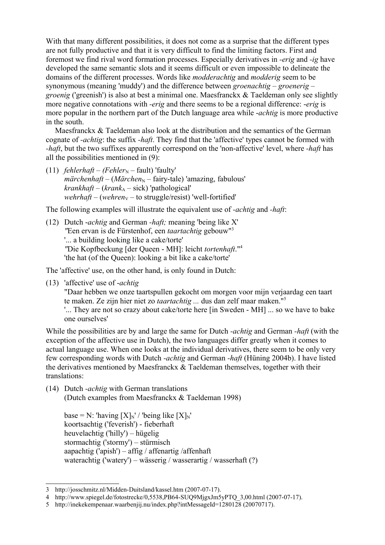With that many different possibilities, it does not come as a surprise that the different types are not fully productive and that it is very difficult to find the limiting factors. First and foremost we find rival word formation processes. Especially derivatives in *-erig* and *-ig* have developed the same semantic slots and it seems difficult or even impossible to delineate the domains of the different processes. Words like *modderachtig* and *modderig* seem to be synonymous (meaning 'muddy') and the difference between *groenachtig – groenerig – groenig* ('greenish') is also at best a minimal one. Maesfranckx & Taeldeman only see slightly more negative connotations with *-erig* and there seems to be a regional difference: -*erig* is more popular in the northern part of the Dutch language area while -*achtig* is more productive in the south.

Maesfranckx & Taeldeman also look at the distribution and the semantics of the German cognate of *-achtig*: the suffix *-haft*. They find that the 'affective' types cannot be formed with *-haft*, but the two suffixes apparently correspond on the 'non-affective' level, where *-haft* has all the possibilities mentioned in [\(9\)](#page-6-0):

 $(11)$  *fehlerhaft – (Fehler*<sub>N</sub> – fault) 'faulty'  $m\ddot{a}$  rchenhaft – (Märchen<sub>N</sub> – fairy-tale) 'amazing, fabulous' *krankhaft* – (*krank*<sub>A</sub> – sick) 'pathological' *wehrhaft* – (*wehren*<sub>V</sub> – to struggle/resist) 'well-fortified'

The following examples will illustrate the equivalent use of *-achtig* and *-haft*:

(12) Dutch -*achtig* and German *-haft;* meaning 'being like X' *"*Een ervan is de Fürstenhof, een *taartachtig* gebouw"[3](#page-7-0) '... a building looking like a cake/torte' *"*Die Kopfbeckung [der Queen - MH]: leicht *tortenhaft*."[4](#page-7-1) 'the hat (of the Queen): looking a bit like a cake/torte'

The 'affective' use, on the other hand, is only found in Dutch:

(13) 'affective' use of -*achtig*

"Daar hebben we onze taartspullen gekocht om morgen voor mijn verjaardag een taart te maken. Ze zijn hier niet zo *taartachtig ...* dus dan zelf maar maken."[5](#page-7-2)

'... They are not so crazy about cake/torte here [in Sweden - MH] ... so we have to bake one ourselves'

While the possibilities are by and large the same for Dutch *-achtig* and German *-haft* (with the exception of the affective use in Dutch), the two languages differ greatly when it comes to actual language use. When one looks at the individual derivatives, there seem to be only very few corresponding words with Dutch *-achtig* and German *-haft* (Hüning 2004b). I have listed the derivatives mentioned by Maesfranckx & Taeldeman themselves, together with their translations:

<span id="page-7-3"></span>(14) Dutch *-achtig* with German translations (Dutch examples from Maesfranckx & Taeldeman 1998)

base = N: 'having  $[X]_N'$  / 'being like  $[X]_N'$ koortsachtig ('feverish') - fieberhaft heuvelachtig ('hilly') – hügelig stormachtig ('stormy') – stürmisch aapachtig ('apish') – affig / affenartig /affenhaft waterachtig ('watery') – wässerig / wasserartig / wasserhaft (?)

<span id="page-7-0"></span><sup>3</sup> http://josschmitz.nl/Midden-Duitsland/kassel.htm (2007-07-17).

<span id="page-7-1"></span><sup>4</sup> http://www.spiegel.de/fotostrecke/0,5538,PB64-SUQ9MjgxJm5yPTQ\_3,00.html (2007-07-17).

<span id="page-7-2"></span><sup>5</sup> http://inekekempenaar.waarbenjij.nu/index.php?intMessageId=1280128 (20070717).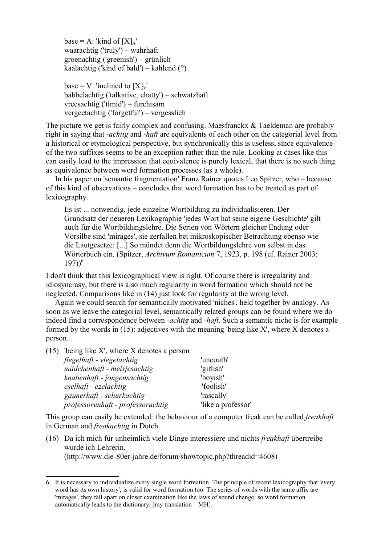base = A: 'kind of  $[X]_A'$ ' waarachtig ('truly') – wahrhaft groenachtig ('greenish') – grünlich kaalachtig ('kind of bald') – kahlend (?)

base = V: 'inclined to  $[X]_V'$ babbelachtig ('talkative, chatty') – schwatzhaft vreesachtig ('timid') – furchtsam vergeetachtig ('forgetful') – vergesslich

The picture we get is fairly complex and confusing. Maesfranckx & Taeldeman are probably right in saying that -*achtig* and -*haft* are equivalents of each other on the categorial level from a historical or etymological perspective, but synchronically this is useless, since equivalence of the two suffixes seems to be an exception rather than the rule. Looking at cases like this can easily lead to the impression that equivalence is purely lexical, that there is no such thing as equivalence between word formation processes (as a whole).

In his paper on 'semantic fragmentation' Franz Rainer quotes Leo Spitzer, who – because of this kind of observations – concludes that word formation has to be treated as part of lexicography.

Es ist ... notwendig, jede einzelne Wortbildung zu individualisieren. Der Grundsatz der neueren Lexikographie 'jedes Wort hat seine eigene Geschichte' gilt auch für die Wortbildungslehre. Die Serien von Wörtern gleicher Endung oder Vorsilbe sind 'mirages', sie zerfallen bei mikroskopischer Betrachtung ebenso wie die Lautgesetze: [...] So mündet denn die Wortbildungslehre von selbst in das Wörterbuch ein. (Spitzer, *Archivum Romanicum* 7, 1923, p. 198 (cf. Rainer 2003:  $(197))$ <sup>[6](#page-8-1)</sup>

I don't think that this lexicographical view is right. Of course there is irregularity and idiosyncrasy, but there is also much regularity in word formation which should not be neglected. Comparisons like in [\(14\)](#page-7-3) just look for regularity at the wrong level.

Again we could search for semantically motivated 'niches', held together by analogy. As soon as we leave the categorial level, semantically related groups can be found where we do indeed find a correspondence between *-achtig* and *-haft*. Such a semantic niche is for example formed by the words in [\(15\)](#page-8-0): adjectives with the meaning 'being like X', where X denotes a person.

<span id="page-8-0"></span>

| $(15)$ 'being like X', where X denotes a person |                    |
|-------------------------------------------------|--------------------|
| flegelhaft - vlegelachtig                       | 'uncouth'          |
| mädchenhaft - meisjesachtig                     | 'girlish'          |
| knabenhaft - jongensachtig                      | 'boyish'           |
| eselhaft - ezelachtig                           | 'foolish'          |
| gaunerhaft - schurkachtig                       | 'rascally'         |
| professorenhaft - professorachtig               | 'like a professor' |

This group can easily be extended: the behaviour of a computer freak can be called *freakhaft* in German and *freakachtig* in Dutch.

(16) Da ich mich für unheimlich viele Dinge interessiere und nichts *freakhaft* übertreibe wurde ich Lehrerin.

(http://www.die-80er-jahre.de/forum/showtopic.php?threadid=4608)

<span id="page-8-1"></span><sup>6</sup> It is necessary to individualize every single word formation. The principle of recent lexicography that 'every word has its own history', is valid for word formation too. The series of words with the same affix are 'mirages', they fall apart on closer examination like the laws of sound change: so word formation automatically leads to the dictionary. [my translation – MH].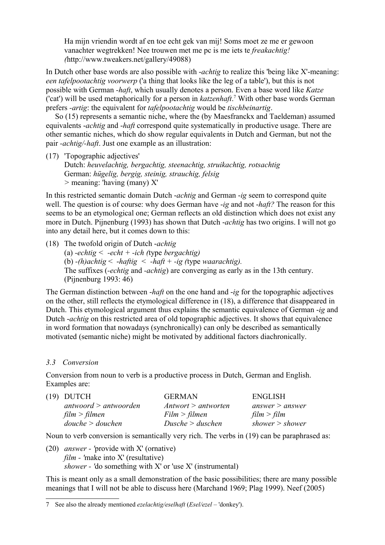Ha mijn vriendin wordt af en toe echt gek van mij! Soms moet ze me er gewoon vanachter wegtrekken! Nee trouwen met me pc is me iets te *freakachtig! (*http://www.tweakers.net/gallery/49088)

In Dutch other base words are also possible with -*achtig* to realize this 'being like X'-meaning: *een tafelpootachtig voorwerp* ('a thing that looks like the leg of a table'), but this is not possible with German *-haft*, which usually denotes a person. Even a base word like *Katze* ('cat') will be used metaphorically for a person in *katzenhaft*. [7](#page-9-2) With other base words German prefers *-artig*: the equivalent for *tafelpootachtig* would be *tischbeinartig*.

So [\(15\)](#page-8-0) represents a semantic niche, where the (by Maesfranckx and Taeldeman) assumed equivalents -*achtig* and -*haft* correspond quite systematically in productive usage. There are other semantic niches, which do show regular equivalents in Dutch and German, but not the pair *-achtig/-haft*. Just one example as an illustration:

(17) 'Topographic adjectives' Dutch: *heuvelachtig, bergachtig, steenachtig, struikachtig, rotsachtig* German: *hügelig, bergig, steinig, strauchig, felsig >* meaning: 'having (many) X'

In this restricted semantic domain Dutch -*achtig* and German -*ig* seem to correspond quite well. The question is of course: why does German have -*ig* and not -*haft?* The reason for this seems to be an etymological one; German reflects an old distinction which does not exist any more in Dutch. Pijnenburg (1993) has shown that Dutch -*achtig* has two origins. I will not go into any detail here, but it comes down to this:

<span id="page-9-1"></span>(18) The twofold origin of Dutch -*achtig*

(a) *-echtig < -echt + -ich (*type *bergachtig)* (b) *-(h)achtig* < -*haftig < -haft + -ig (*type *waarachtig).*  The suffixes (*-echtig* and *-achtig*) are converging as early as in the 13th century. (Pijnenburg 1993: 46)

The German distinction between -*haft* on the one hand and -*ig* for the topographic adjectives on the other, still reflects the etymological difference in [\(18\)](#page-9-1), a difference that disappeared in Dutch. This etymological argument thus explains the semantic equivalence of German -*ig* and Dutch -*achtig* on this restricted area of old topographic adjectives. It shows that equivalence in word formation that nowadays (synchronically) can only be described as semantically motivated (semantic niche) might be motivated by additional factors diachronically.

### *3.3 Conversion*

Conversion from noun to verb is a productive process in Dutch, German and English. Examples are:

<span id="page-9-0"></span>

| (19) DUTCH              | <b>GERMAN</b>       | <b>ENGLISH</b>    |
|-------------------------|---------------------|-------------------|
| antwoord $>$ antwoorden | Antwort > antworten | answer $>$ answer |
| film > filmen           | Film > filename     | film > film       |
| double > double         | Dusche > duschen    | shower $>$ shower |

Noun to verb conversion is semantically very rich. The verbs in [\(19\)](#page-9-0) can be paraphrased as:

(20) *answer - '*provide with X' (ornative) *film - '*make into X' (resultative) *shower - '*do something with X' or 'use X' (instrumental)

This is meant only as a small demonstration of the basic possibilities; there are many possible meanings that I will not be able to discuss here (Marchand 1969; Plag 1999). Neef (2005)

<span id="page-9-2"></span><sup>7</sup> See also the already mentioned *ezelachtig/eselhaft* (*Esel/ezel* – 'donkey').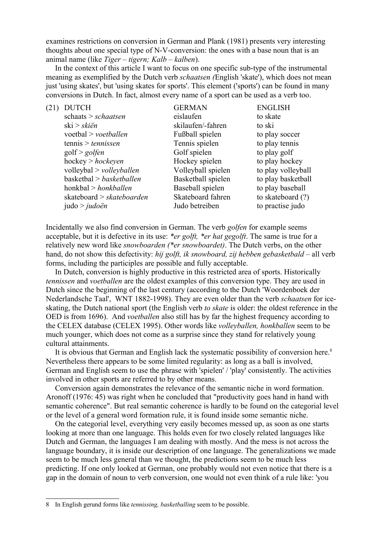examines restrictions on conversion in German and Plank (1981) presents very interesting thoughts about one special type of N-V-conversion: the ones with a base noun that is an animal name (like *Tiger – tigern; Kalb – kalben*).

In the context of this article I want to focus on one specific sub-type of the instrumental meaning as exemplified by the Dutch verb *schaatsen (*English 'skate'), which does not mean just 'using skates', but 'using skates for sports'. This element ('sports') can be found in many conversions in Dutch. In fact, almost every name of a sport can be used as a verb too.

| (21) | <b>DUTCH</b>                   | <b>GERMAN</b>      | <b>ENGLISH</b>     |
|------|--------------------------------|--------------------|--------------------|
|      | schaats > schaatsen            | eislaufen          | to skate           |
|      | ski > skiën                    | skilaufen/-fahren  | to ski             |
|      | $voetbal$ > $voetballen$       | Fußball spielen    | to play soccer     |
|      | tennis > tennissen             | Tennis spielen     | to play tennis     |
|      | golf > golfen                  | Golf spielen       | to play golf       |
|      | hockey > hockey                | Hockey spielen     | to play hockey     |
|      | $v$ olleybal > $v$ olleyballen | Volleyball spielen | to play volleyball |
|      | basketbal > basketballen       | Basketball spielen | to play basketball |
|      | honkbal > honkballen           | Baseball spielen   | to play baseball   |
|      | skateboard $>$ skateboarden    | Skateboard fahren  | to skateboard (?)  |
|      | judo > judoën                  | Judo betreiben     | to practise judo   |

Incidentally we also find conversion in German. The verb *golfen* for example seems acceptable, but it is defective in its use: *\*er golft, \*er hat gegolft*. The same is true for a relatively new word like *snowboarden (\*er snowboardet)*. The Dutch verbs, on the other hand, do not show this defectivity: *hij golft, ik snowboard, zij hebben gebasketbald* – all verb forms, including the participles are possible and fully acceptable.

In Dutch, conversion is highly productive in this restricted area of sports. Historically *tennissen* and *voetballen* are the oldest examples of this conversion type. They are used in Dutch since the beginning of the last century (according to the Dutch 'Woordenboek der Nederlandsche Taal', WNT 1882-1998). They are even older than the verb *schaatsen* for iceskating, the Dutch national sport (the English verb *to skate* is older: the oldest reference in the OED is from 1696). And *voetballen* also still has by far the highest frequency according to the CELEX database (CELEX 1995). Other words like *volleyballen, honkballen* seem to be much younger, which does not come as a surprise since they stand for relatively young cultural attainments.

It is obvious that German and English lack the systematic possibility of conversion here.<sup>[8](#page-10-0)</sup> Nevertheless there appears to be some limited regularity: as long as a ball is involved, German and English seem to use the phrase with 'spielen' / 'play' consistently. The activities involved in other sports are referred to by other means.

Conversion again demonstrates the relevance of the semantic niche in word formation. Aronoff (1976: 45) was right when he concluded that "productivity goes hand in hand with semantic coherence". But real semantic coherence is hardly to be found on the categorial level or the level of a general word formation rule, it is found inside some semantic niche.

On the categorial level, everything very easily becomes messed up, as soon as one starts looking at more than one language. This holds even for two closely related languages like Dutch and German, the languages I am dealing with mostly. And the mess is not across the language boundary, it is inside our description of one language. The generalizations we made seem to be much less general than we thought, the predictions seem to be much less predicting. If one only looked at German, one probably would not even notice that there is a gap in the domain of noun to verb conversion, one would not even think of a rule like: 'you

<span id="page-10-0"></span><sup>8</sup> In English gerund forms like *tennissing, basketballing* seem to be possible.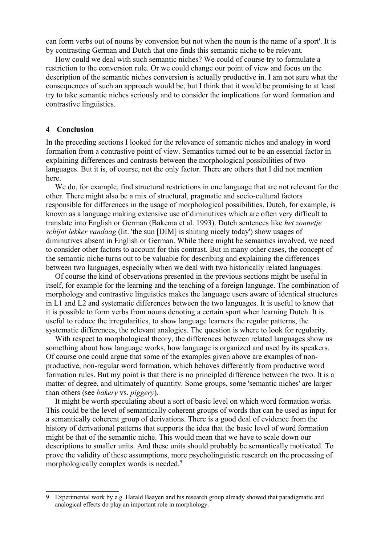can form verbs out of nouns by conversion but not when the noun is the name of a sport'. It is by contrasting German and Dutch that one finds this semantic niche to be relevant.

How could we deal with such semantic niches? We could of course try to formulate a restriction to the conversion rule. Or we could change our point of view and focus on the description of the semantic niches conversion is actually productive in. I am not sure what the consequences of such an approach would be, but I think that it would be promising to at least try to take semantic niches seriously and to consider the implications for word formation and contrastive linguistics.

### **4 Conclusion**

In the preceding sections I looked for the relevance of semantic niches and analogy in word formation from a contrastive point of view. Semantics turned out to be an essential factor in explaining differences and contrasts between the morphological possibilities of two languages. But it is, of course, not the only factor. There are others that I did not mention here.

We do, for example, find structural restrictions in one language that are not relevant for the other. There might also be a mix of structural, pragmatic and socio-cultural factors responsible for differences in the usage of morphological possibilities. Dutch, for example, is known as a language making extensive use of diminutives which are often very difficult to translate into English or German (Bakema et al. 1993). Dutch sentences like *het zonnetje schijnt lekker vandaag* (lit. 'the sun [DIM] is shining nicely today') show usages of diminutives absent in English or German. While there might be semantics involved, we need to consider other factors to account for this contrast. But in many other cases, the concept of the semantic niche turns out to be valuable for describing and explaining the differences between two languages, especially when we deal with two historically related languages.

Of course the kind of observations presented in the previous sections might be useful in itself, for example for the learning and the teaching of a foreign language. The combination of morphology and contrastive linguistics makes the language users aware of identical structures in L1 and L2 and systematic differences between the two languages. It is useful to know that it is possible to form verbs from nouns denoting a certain sport when learning Dutch. It is useful to reduce the irregularities, to show language learners the regular patterns, the systematic differences, the relevant analogies. The question is where to look for regularity.

With respect to morphological theory, the differences between related languages show us something about how language works, how language is organized and used by its speakers. Of course one could argue that some of the examples given above are examples of nonproductive, non-regular word formation, which behaves differently from productive word formation rules. But my point is that there is no principled difference between the two. It is a matter of degree, and ultimately of quantity. Some groups, some 'semantic niches' are larger than others (see *bakery* vs. *piggery*).

It might be worth speculating about a sort of basic level on which word formation works. This could be the level of semantically coherent groups of words that can be used as input for a semantically coherent group of derivations. There is a good deal of evidence from the history of derivational patterns that supports the idea that the basic level of word formation might be that of the semantic niche. This would mean that we have to scale down our descriptions to smaller units. And these units should probably be semantically motivated. To prove the validity of these assumptions, more psycholinguistic research on the processing of morphologically complex words is needed.<sup>[9](#page-11-0)</sup>

<span id="page-11-0"></span><sup>9</sup> Experimental work by e.g. Harald Baayen and his research group already showed that paradigmatic and analogical effects do play an important role in morphology.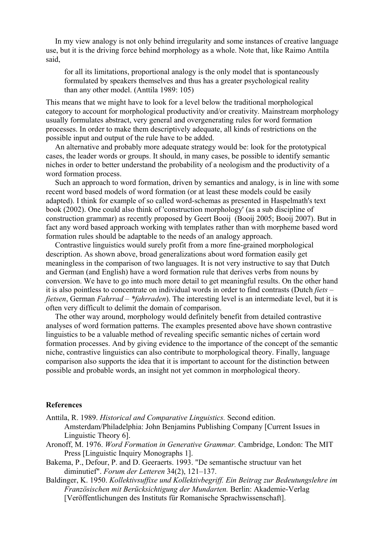In my view analogy is not only behind irregularity and some instances of creative language use, but it is the driving force behind morphology as a whole. Note that, like Raimo Anttila said,

for all its limitations, proportional analogy is the only model that is spontaneously formulated by speakers themselves and thus has a greater psychological reality than any other model. (Anttila 1989: 105)

This means that we might have to look for a level below the traditional morphological category to account for morphological productivity and/or creativity. Mainstream morphology usually formulates abstract, very general and overgenerating rules for word formation processes. In order to make them descriptively adequate, all kinds of restrictions on the possible input and output of the rule have to be added.

An alternative and probably more adequate strategy would be: look for the prototypical cases, the leader words or groups. It should, in many cases, be possible to identify semantic niches in order to better understand the probability of a neologism and the productivity of a word formation process.

Such an approach to word formation, driven by semantics and analogy, is in line with some recent word based models of word formation (or at least these models could be easily adapted). I think for example of so called word-schemas as presented in Haspelmath's text book (2002). One could also think of 'construction morphology' (as a sub discipline of construction grammar) as recently proposed by Geert Booij (Booij 2005; Booij 2007). But in fact any word based approach working with templates rather than with morpheme based word formation rules should be adaptable to the needs of an analogy approach.

Contrastive linguistics would surely profit from a more fine-grained morphological description. As shown above, broad generalizations about word formation easily get meaningless in the comparison of two languages. It is not very instructive to say that Dutch and German (and English) have a word formation rule that derives verbs from nouns by conversion. We have to go into much more detail to get meaningful results. On the other hand it is also pointless to concentrate on individual words in order to find contrasts (Dutch *fiets – fietsen*, German *Fahrrad – \*fahrraden*). The interesting level is an intermediate level, but it is often very difficult to delimit the domain of comparison.

The other way around, morphology would definitely benefit from detailed contrastive analyses of word formation patterns. The examples presented above have shown contrastive linguistics to be a valuable method of revealing specific semantic niches of certain word formation processes. And by giving evidence to the importance of the concept of the semantic niche, contrastive linguistics can also contribute to morphological theory. Finally, language comparison also supports the idea that it is important to account for the distinction between possible and probable words, an insight not yet common in morphological theory.

#### **References**

- Anttila, R. 1989. *Historical and Comparative Linguistics.* Second edition. Amsterdam/Philadelphia: John Benjamins Publishing Company [Current Issues in Linguistic Theory 6].
- Aronoff, M. 1976. *Word Formation in Generative Grammar.* Cambridge, London: The MIT Press [Linguistic Inquiry Monographs 1].
- Bakema, P., Defour, P. and D. Geeraerts. 1993. "De semantische structuur van het diminutief". *Forum der Letteren* 34(2), 121–137.
- Baldinger, K. 1950. *Kollektivsuffixe und Kollektivbegriff. Ein Beitrag zur Bedeutungslehre im Französischen mit Berücksichtigung der Mundarten.* Berlin: Akademie-Verlag [Veröffentlichungen des Instituts für Romanische Sprachwissenschaft].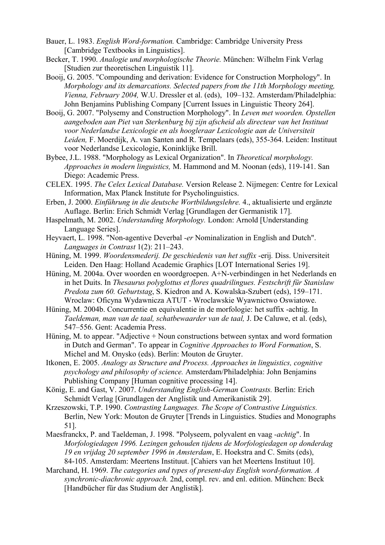- Bauer, L. 1983. *English Word-formation.* Cambridge: Cambridge University Press [Cambridge Textbooks in Linguistics].
- Becker, T. 1990. *Analogie und morphologische Theorie.* München: Wilhelm Fink Verlag [Studien zur theoretischen Linguistik 11].
- Booij, G. 2005. "Compounding and derivation: Evidence for Construction Morphology". In *Morphology and its demarcations. Selected papers from the 11th Morphology meeting, Vienna, February 2004,* W.U. Dressler et al. (eds), 109–132. Amsterdam/Philadelphia: John Benjamins Publishing Company [Current Issues in Linguistic Theory 264].
- Booij, G. 2007. "Polysemy and Construction Morphology". In *Leven met woorden. Opstellen aangeboden aan Piet van Sterkenburg bij zijn afscheid als directeur van het Instituut voor Nederlandse Lexicologie en als hoogleraar Lexicologie aan de Universiteit Leiden,* F. Moerdijk, A. van Santen and R. Tempelaars (eds), 355-364. Leiden: Instituut voor Nederlandse Lexicologie, Koninklijke Brill.
- Bybee, J.L. 1988. "Morphology as Lexical Organization". In *Theoretical morphology. Approaches in modern linguistics,* M. Hammond and M. Noonan (eds), 119-141. San Diego: Academic Press.
- CELEX. 1995. *The Celex Lexical Database.* Version Release 2. Nijmegen: Centre for Lexical Information, Max Planck Institute for Psycholinguistics.
- Erben, J. 2000. *Einführung in die deutsche Wortbildungslehre.* 4., aktualisierte und ergänzte Auflage. Berlin: Erich Schmidt Verlag [Grundlagen der Germanistik 17].
- Haspelmath, M. 2002. *Understanding Morphology.* London: Arnold [Understanding Language Series].
- Heyvaert, L. 1998. "Non-agentive Deverbal *-er* Nominalization in English and Dutch". *Languages in Contrast* 1(2): 211–243.
- Hüning, M. 1999. *Woordensmederij. De geschiedenis van het suffix* -erij*.* Diss. Universiteit Leiden. Den Haag: Holland Academic Graphics [LOT International Series 19].
- Hüning, M. 2004a. Over woorden en woordgroepen. A+N-verbindingen in het Nederlands en in het Duits. In *Thesaurus polyglottus et flores quadrilingues. Festschrift für Stanislaw Predota zum 60. Geburtstag*, S. Kiedron and A. Kowalska-Szubert (eds), 159–171. Wroclaw: Oficyna Wydawnicza ATUT - Wroclawskie Wyawnictwo Oswiatowe.
- Hüning, M. 2004b. Concurrentie en equivalentie in de morfologie: het suffix -achtig. In *Taeldeman, man van de taal, schatbewaarder van de taal,* J. De Caluwe, et al. (eds), 547–556. Gent: Academia Press.
- Hüning, M. to appear. "Adjective + Noun constructions between syntax and word formation in Dutch and German". To appear in *Cognitive Approaches to Word Formation*, S. Michel and M. Onysko (eds). Berlin: Mouton de Gruyter.
- Itkonen, E. 2005. *Analogy as Structure and Process. Approaches in linguistics, cognitive psychology and philosophy of science.* Amsterdam/Philadelphia: John Benjamins Publishing Company [Human cognitive processing 14].
- König, E. and Gast, V. 2007. *Understanding English-German Contrasts.* Berlin: Erich Schmidt Verlag [Grundlagen der Anglistik und Amerikanistik 29].
- Krzeszowski, T.P. 1990. *Contrasting Languages. The Scope of Contrastive Linguistics.* Berlin, New York: Mouton de Gruyter [Trends in Linguistics. Studies and Monographs 51].
- Maesfranckx, P. and Taeldeman, J. 1998. "Polyseem, polyvalent en vaag *-achtig*". In *Morfologiedagen 1996. Lezingen gehouden tijdens de Morfologiedagen op donderdag 19 en vrijdag 20 september 1996 in Amsterdam*, E. Hoekstra and C. Smits (eds), 84-105. Amsterdam: Meertens Instituut. [Cahiers van het Meertens Instituut 10].
- Marchand, H. 1969. *The categories and types of present-day English word-formation. A synchronic-diachronic approach.* 2nd, compl. rev. and enl. edition. München: Beck [Handbücher für das Studium der Anglistik].